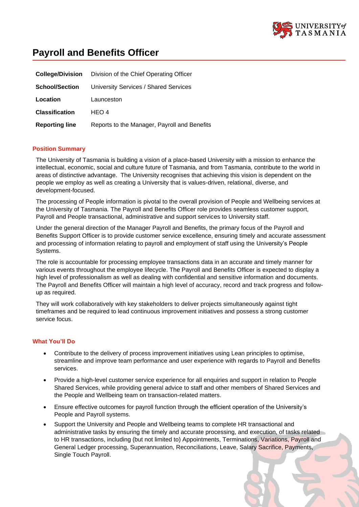

# **Payroll and Benefits Officer**

| <b>College/Division</b> | Division of the Chief Operating Officer      |
|-------------------------|----------------------------------------------|
| <b>School/Section</b>   | University Services / Shared Services        |
| Location                | Launceston                                   |
| <b>Classification</b>   | HEO 4                                        |
| <b>Reporting line</b>   | Reports to the Manager, Payroll and Benefits |

#### **Position Summary**

The University of Tasmania is building a vision of a place-based University with a mission to enhance the intellectual, economic, social and culture future of Tasmania, and from Tasmania, contribute to the world in areas of distinctive advantage. The University recognises that achieving this vision is dependent on the people we employ as well as creating a University that is values-driven, relational, diverse, and development-focused.

The processing of People information is pivotal to the overall provision of People and Wellbeing services at the University of Tasmania. The Payroll and Benefits Officer role provides seamless customer support, Payroll and People transactional, administrative and support services to University staff.

Under the general direction of the Manager Payroll and Benefits, the primary focus of the Payroll and Benefits Support Officer is to provide customer service excellence, ensuring timely and accurate assessment and processing of information relating to payroll and employment of staff using the University's People Systems.

The role is accountable for processing employee transactions data in an accurate and timely manner for various events throughout the employee lifecycle. The Payroll and Benefits Officer is expected to display a high level of professionalism as well as dealing with confidential and sensitive information and documents. The Payroll and Benefits Officer will maintain a high level of accuracy, record and track progress and followup as required.

They will work collaboratively with key stakeholders to deliver projects simultaneously against tight timeframes and be required to lead continuous improvement initiatives and possess a strong customer service focus.

## **What You'll Do**

- Contribute to the delivery of process improvement initiatives using Lean principles to optimise, streamline and improve team performance and user experience with regards to Payroll and Benefits services.
- Provide a high-level customer service experience for all enquiries and support in relation to People Shared Services, while providing general advice to staff and other members of Shared Services and the People and Wellbeing team on transaction-related matters.
- Ensure effective outcomes for payroll function through the efficient operation of the University's People and Payroll systems.
- Support the University and People and Wellbeing teams to complete HR transactional and administrative tasks by ensuring the timely and accurate processing, and execution, of tasks related to HR transactions, including (but not limited to) Appointments, Terminations, Variations, Payroll and General Ledger processing, Superannuation, Reconciliations, Leave, Salary Sacrifice, Payments, Single Touch Payroll.